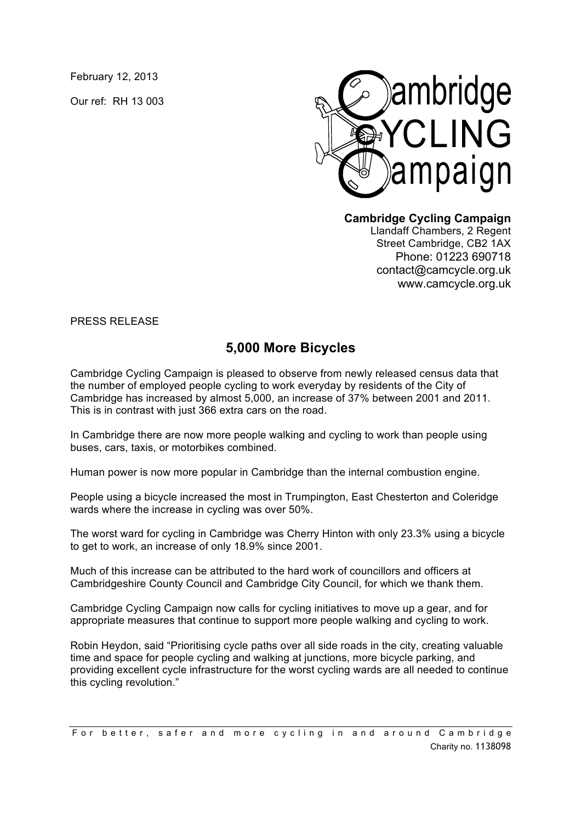February 12, 2013

Our ref: RH 13 003



**Cambridge Cycling Campaign**

Llandaff Chambers, 2 Regent Street Cambridge, CB2 1AX Phone: 01223 690718 contact@camcycle.org.uk www.camcycle.org.uk

PRESS RELEASE

## **5,000 More Bicycles**

Cambridge Cycling Campaign is pleased to observe from newly released census data that the number of employed people cycling to work everyday by residents of the City of Cambridge has increased by almost 5,000, an increase of 37% between 2001 and 2011. This is in contrast with just 366 extra cars on the road.

In Cambridge there are now more people walking and cycling to work than people using buses, cars, taxis, or motorbikes combined.

Human power is now more popular in Cambridge than the internal combustion engine.

People using a bicycle increased the most in Trumpington, East Chesterton and Coleridge wards where the increase in cycling was over 50%.

The worst ward for cycling in Cambridge was Cherry Hinton with only 23.3% using a bicycle to get to work, an increase of only 18.9% since 2001.

Much of this increase can be attributed to the hard work of councillors and officers at Cambridgeshire County Council and Cambridge City Council, for which we thank them.

Cambridge Cycling Campaign now calls for cycling initiatives to move up a gear, and for appropriate measures that continue to support more people walking and cycling to work.

Robin Heydon, said "Prioritising cycle paths over all side roads in the city, creating valuable time and space for people cycling and walking at junctions, more bicycle parking, and providing excellent cycle infrastructure for the worst cycling wards are all needed to continue this cycling revolution."